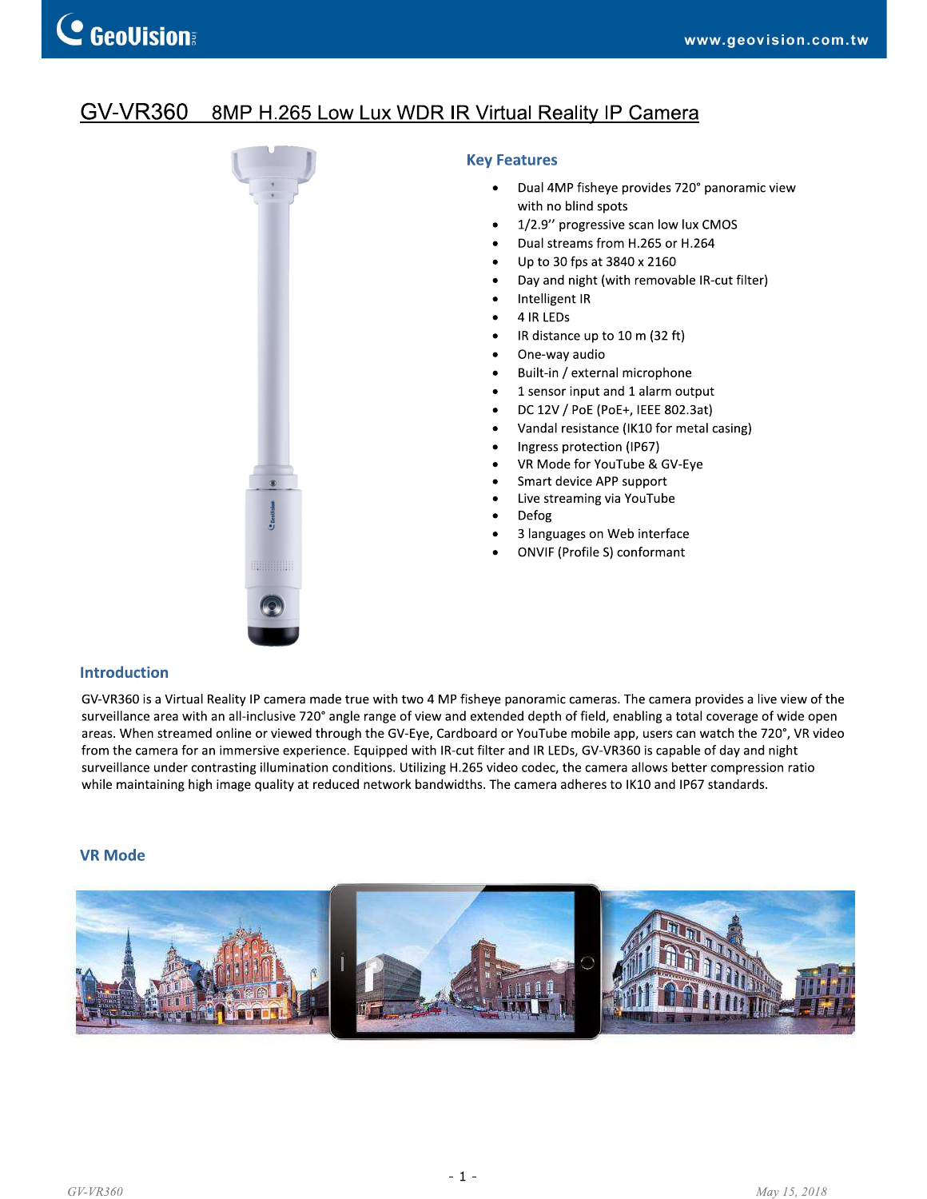#### **GV-VR360** 8MP H.265 Low Lux WDR IR Virtual Reality IP Camera



### **Key Features**

- Dual 4MP fisheye provides 720° panoramic view with no blind spots
- 1/2.9" progressive scan low lux CMOS
- Dual streams from H.265 or H.264
- Up to 30 fps at 3840 x 2160  $\bullet$
- Day and night (with removable IR-cut filter)
- Intelligent IR
- 4 IR LEDs
- IR distance up to 10 m (32 ft)
- One-way audio  $\bullet$
- Built-in / external microphone
- 1 sensor input and 1 alarm output  $\bullet$
- DC 12V / PoE (PoE+, IEEE 802.3at)  $\bullet$
- Vandal resistance (IK10 for metal casing)  $\bullet$
- $\bullet$ Ingress protection (IP67)
- VR Mode for YouTube & GV-Eye
- Smart device APP support
- Live streaming via YouTube
- Defog
- 3 languages on Web interface
- **ONVIF (Profile S) conformant**

## **Introduction**

GV-VR360 is a Virtual Reality IP camera made true with two 4 MP fisheye panoramic cameras. The camera provides a live view of the surveillance area with an all-inclusive 720° angle range of view and extended depth of field, enabling a total coverage of wide open areas. When streamed online or viewed through the GV-Eye, Cardboard or YouTube mobile app, users can watch the 720°, VR video from the camera for an immersive experience. Equipped with IR-cut filter and IR LEDs, GV-VR360 is capable of day and night surveillance under contrasting illumination conditions. Utilizing H.265 video codec, the camera allows better compression ratio while maintaining high image quality at reduced network bandwidths. The camera adheres to IK10 and IP67 standards.

#### **VR Mode**

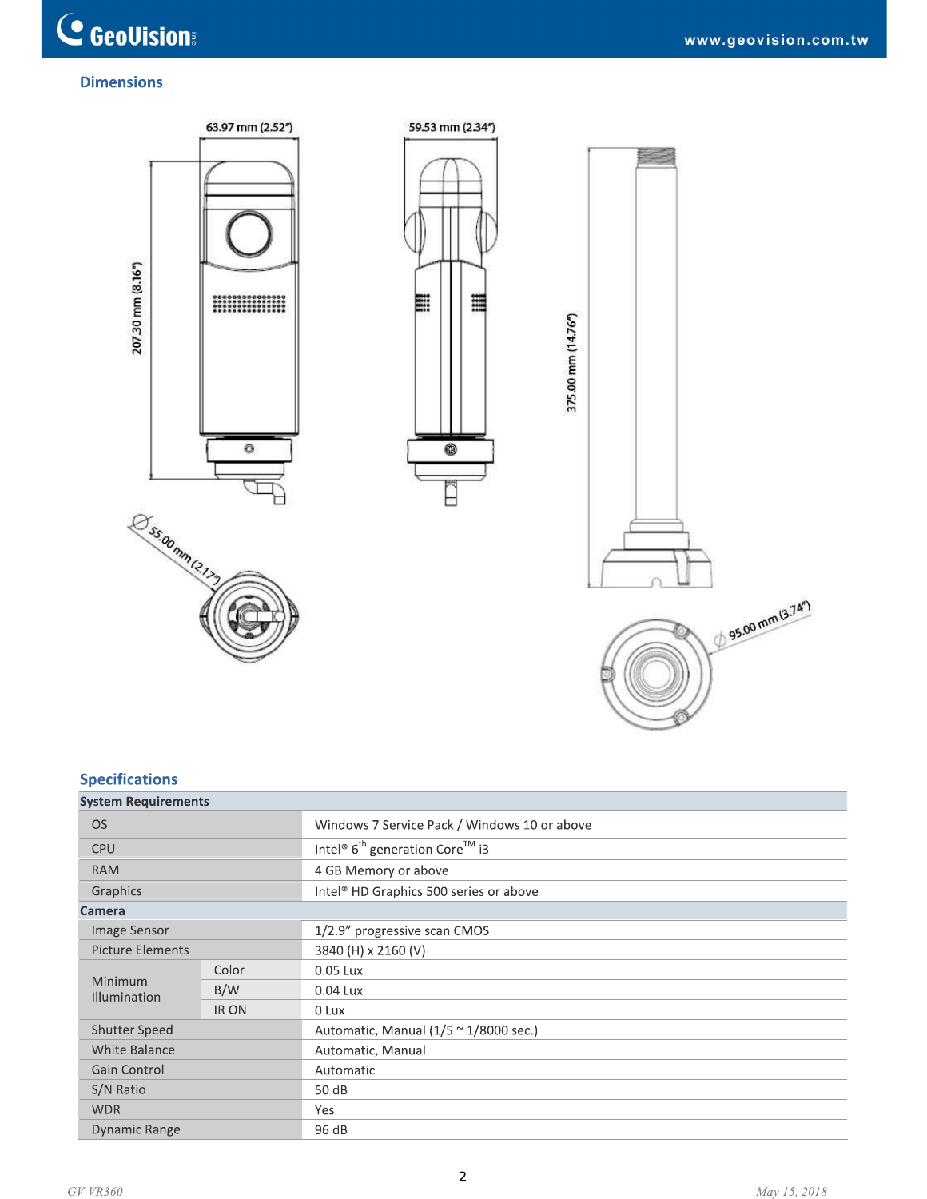# **Dimensions**



# **Specifications**

| <b>Specifications</b>      |             |                                                                    |
|----------------------------|-------------|--------------------------------------------------------------------|
| <b>System Requirements</b> |             |                                                                    |
| <b>OS</b>                  |             | Windows 7 Service Pack / Windows 10 or above                       |
| <b>CPU</b>                 |             | Intel <sup>®</sup> 6 <sup>th</sup> generation Core <sup>™</sup> i3 |
| <b>RAM</b>                 |             | 4 GB Memory or above                                               |
| Graphics                   |             | Intel <sup>®</sup> HD Graphics 500 series or above                 |
| Camera                     |             |                                                                    |
| Image Sensor               |             | 1/2.9" progressive scan CMOS                                       |
| <b>Picture Elements</b>    |             | 3840 (H) x 2160 (V)                                                |
| Minimum                    | Color       | 0.05 Lux                                                           |
| <b>Illumination</b>        | B/W         | 0.04 Lux                                                           |
|                            | <b>IRON</b> | 0 Lux                                                              |
| <b>Shutter Speed</b>       |             | Automatic, Manual $(1/5 \sim 1/8000 \text{ sec.})$                 |
| <b>White Balance</b>       |             | Automatic, Manual                                                  |
| Gain Control               |             | Automatic                                                          |
| S/N Ratio                  |             | 50 dB                                                              |
| <b>WDR</b>                 |             | Yes                                                                |
| <b>Dynamic Range</b>       |             | 96 dB                                                              |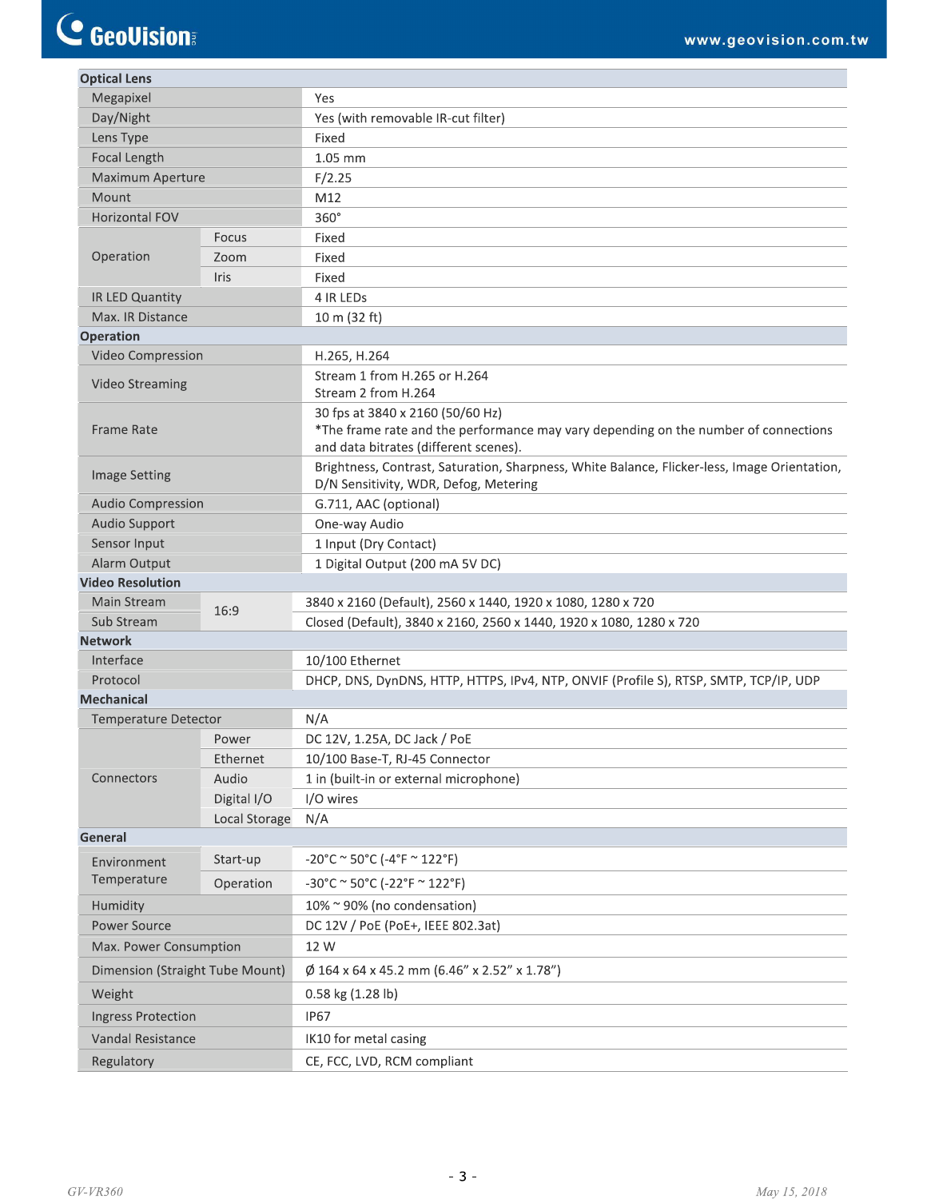| <b>Optical Lens</b>             |               |                                                                                                                                                                  |  |  |  |
|---------------------------------|---------------|------------------------------------------------------------------------------------------------------------------------------------------------------------------|--|--|--|
| Megapixel                       |               | Yes                                                                                                                                                              |  |  |  |
| Day/Night                       |               | Yes (with removable IR-cut filter)                                                                                                                               |  |  |  |
| Lens Type                       |               | Fixed                                                                                                                                                            |  |  |  |
| Focal Length                    |               | 1.05 mm                                                                                                                                                          |  |  |  |
| Maximum Aperture                |               | F/2.25                                                                                                                                                           |  |  |  |
| Mount                           |               | M12                                                                                                                                                              |  |  |  |
| <b>Horizontal FOV</b>           |               | 360°                                                                                                                                                             |  |  |  |
| Operation                       | Focus         | Fixed                                                                                                                                                            |  |  |  |
|                                 | Zoom          | Fixed                                                                                                                                                            |  |  |  |
| Iris                            |               | Fixed                                                                                                                                                            |  |  |  |
| IR LED Quantity                 |               | 4 IR LEDS                                                                                                                                                        |  |  |  |
| Max. IR Distance                |               | 10 m (32 ft)                                                                                                                                                     |  |  |  |
| <b>Operation</b>                |               |                                                                                                                                                                  |  |  |  |
| Video Compression               |               | H.265, H.264                                                                                                                                                     |  |  |  |
| <b>Video Streaming</b>          |               | Stream 1 from H.265 or H.264<br>Stream 2 from H.264                                                                                                              |  |  |  |
| <b>Frame Rate</b>               |               | 30 fps at 3840 x 2160 (50/60 Hz)<br>*The frame rate and the performance may vary depending on the number of connections<br>and data bitrates (different scenes). |  |  |  |
| <b>Image Setting</b>            |               | Brightness, Contrast, Saturation, Sharpness, White Balance, Flicker-less, Image Orientation,<br>D/N Sensitivity, WDR, Defog, Metering                            |  |  |  |
| <b>Audio Compression</b>        |               | G.711, AAC (optional)                                                                                                                                            |  |  |  |
| Audio Support                   |               | One-way Audio                                                                                                                                                    |  |  |  |
| Sensor Input                    |               | 1 Input (Dry Contact)                                                                                                                                            |  |  |  |
| Alarm Output                    |               | 1 Digital Output (200 mA 5V DC)                                                                                                                                  |  |  |  |
| <b>Video Resolution</b>         |               |                                                                                                                                                                  |  |  |  |
| Main Stream                     | 16:9          | 3840 x 2160 (Default), 2560 x 1440, 1920 x 1080, 1280 x 720                                                                                                      |  |  |  |
| Sub Stream                      |               | Closed (Default), 3840 x 2160, 2560 x 1440, 1920 x 1080, 1280 x 720                                                                                              |  |  |  |
| <b>Network</b>                  |               |                                                                                                                                                                  |  |  |  |
| Interface                       |               | 10/100 Ethernet                                                                                                                                                  |  |  |  |
| Protocol                        |               | DHCP, DNS, DynDNS, HTTP, HTTPS, IPv4, NTP, ONVIF (Profile S), RTSP, SMTP, TCP/IP, UDP                                                                            |  |  |  |
| <b>Mechanical</b>               |               |                                                                                                                                                                  |  |  |  |
| <b>Temperature Detector</b>     |               | N/A                                                                                                                                                              |  |  |  |
|                                 | Power         | DC 12V, 1.25A, DC Jack / PoE                                                                                                                                     |  |  |  |
|                                 | Ethernet      | 10/100 Base-T, RJ-45 Connector                                                                                                                                   |  |  |  |
| Connectors                      | Audio         | 1 in (built-in or external microphone)                                                                                                                           |  |  |  |
|                                 | Digital I/O   | I/O wires                                                                                                                                                        |  |  |  |
|                                 | Local Storage | N/A                                                                                                                                                              |  |  |  |
| General                         |               |                                                                                                                                                                  |  |  |  |
| Environment                     | Start-up      | $-20^{\circ}$ C ~ 50°C (-4°F ~ 122°F)                                                                                                                            |  |  |  |
| Temperature                     | Operation     | $-30^{\circ}$ C ~ 50°C (-22°F ~ 122°F)                                                                                                                           |  |  |  |
| Humidity                        |               | 10% ~ 90% (no condensation)                                                                                                                                      |  |  |  |
| <b>Power Source</b>             |               | DC 12V / PoE (PoE+, IEEE 802.3at)                                                                                                                                |  |  |  |
| Max. Power Consumption          |               | 12 W                                                                                                                                                             |  |  |  |
| Dimension (Straight Tube Mount) |               | Ø 164 x 64 x 45.2 mm (6.46" x 2.52" x 1.78")                                                                                                                     |  |  |  |
| Weight                          |               | 0.58 kg (1.28 lb)                                                                                                                                                |  |  |  |
| <b>Ingress Protection</b>       |               | <b>IP67</b>                                                                                                                                                      |  |  |  |
| Vandal Resistance               |               |                                                                                                                                                                  |  |  |  |
|                                 |               | IK10 for metal casing                                                                                                                                            |  |  |  |
| Regulatory                      |               | CE, FCC, LVD, RCM compliant                                                                                                                                      |  |  |  |